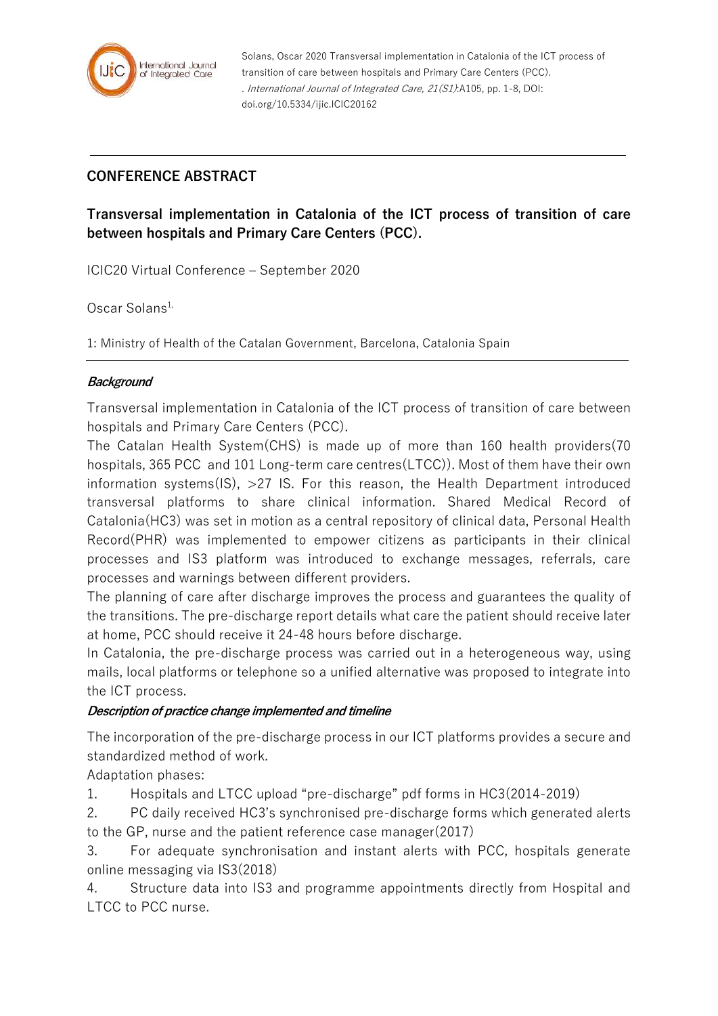

Solans, Oscar 2020 Transversal implementation in Catalonia of the ICT process of transition of care between hospitals and Primary Care Centers (PCC). . International Journal of Integrated Care, 21(S1):A105, pp. 1-8, DOI: doi.org/10.5334/ijic.ICIC20162

# **CONFERENCE ABSTRACT**

**Transversal implementation in Catalonia of the ICT process of transition of care between hospitals and Primary Care Centers (PCC).**

ICIC20 Virtual Conference – September 2020

Oscar Solans $1$ ,

1: Ministry of Health of the Catalan Government, Barcelona, Catalonia Spain

### **Background**

Transversal implementation in Catalonia of the ICT process of transition of care between hospitals and Primary Care Centers (PCC).

The Catalan Health System(CHS) is made up of more than 160 health providers(70 hospitals, 365 PCC and 101 Long-term care centres(LTCC)). Most of them have their own information systems( $|S\rangle$ ,  $>27$  IS. For this reason, the Health Department introduced transversal platforms to share clinical information. Shared Medical Record of Catalonia(HC3) was set in motion as a central repository of clinical data, Personal Health Record(PHR) was implemented to empower citizens as participants in their clinical processes and IS3 platform was introduced to exchange messages, referrals, care processes and warnings between different providers.

The planning of care after discharge improves the process and guarantees the quality of the transitions. The pre-discharge report details what care the patient should receive later at home, PCC should receive it 24-48 hours before discharge.

In Catalonia, the pre-discharge process was carried out in a heterogeneous way, using mails, local platforms or telephone so a unified alternative was proposed to integrate into the ICT process.

### **Description of practice change implemented and timeline**

The incorporation of the pre-discharge process in our ICT platforms provides a secure and standardized method of work.

Adaptation phases:

1. Hospitals and LTCC upload "pre-discharge" pdf forms in HC3(2014-2019)

2. PC daily received HC3's synchronised pre-discharge forms which generated alerts to the GP, nurse and the patient reference case manager(2017)

3. For adequate synchronisation and instant alerts with PCC, hospitals generate online messaging via IS3(2018)

4. Structure data into IS3 and programme appointments directly from Hospital and LTCC to PCC nurse.